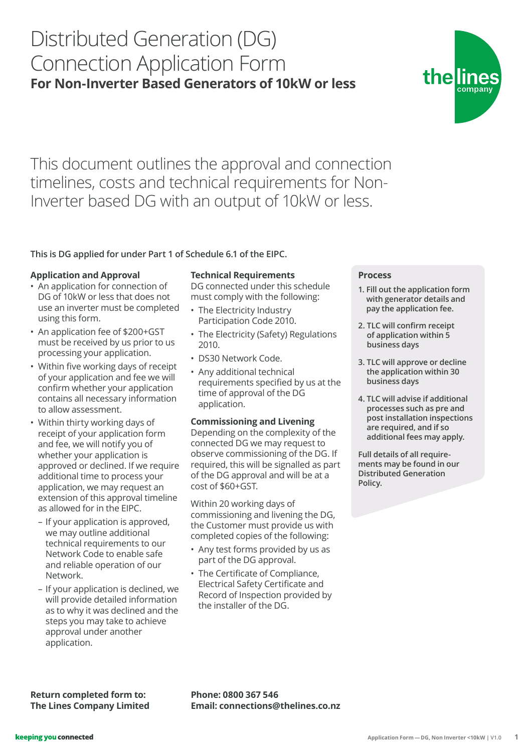# Distributed Generation (DG) Connection Application Form **For Non-Inverter Based Generators of 10kW or less**

# This document outlines the approval and connection timelines, costs and technical requirements for Non-Inverter based DG with an output of 10kW or less.

# **This is DG applied for under Part 1 of Schedule 6.1 of the EIPC.**

## **Application and Approval**

- An application for connection of DG of 10kW or less that does not use an inverter must be completed using this form.
- An application fee of \$200+GST must be received by us prior to us processing your application.
- Within five working days of receipt of your application and fee we will confirm whether your application contains all necessary information to allow assessment.
- Within thirty working days of receipt of your application form and fee, we will notify you of whether your application is approved or declined. If we require additional time to process your application, we may request an extension of this approval timeline as allowed for in the EIPC.
	- If your application is approved, we may outline additional technical requirements to our Network Code to enable safe and reliable operation of our Network.
	- If your application is declined, we will provide detailed information as to why it was declined and the steps you may take to achieve approval under another application.

**Return completed form to: The Lines Company Limited**

## **Technical Requirements**

DG connected under this schedule must comply with the following:

- The Electricity Industry Participation Code 2010.
- The Electricity (Safety) Regulations 2010.
- DS30 Network Code.
- Any additional technical requirements specified by us at the time of approval of the DG application.

#### **Commissioning and Livening**

Depending on the complexity of the connected DG we may request to observe commissioning of the DG. If required, this will be signalled as part of the DG approval and will be at a cost of \$60+GST.

Within 20 working days of commissioning and livening the DG, the Customer must provide us with completed copies of the following:

- Any test forms provided by us as part of the DG approval.
- The Certificate of Compliance, Electrical Safety Certificate and Record of Inspection provided by the installer of the DG.

**Email: connections@thelines.co.nz**

**Phone: 0800 367 546**

# **Process**

- **1. Fill out the application form with generator details and pay the application fee.**
- **2. TLC will confirm receipt of application within 5 business days**
- **3. TLC will approve or decline the application within 30 business days**
- **4. TLC will advise if additional processes such as pre and post installation inspections are required, and if so additional fees may apply.**

**Full details of all requirements may be found in our Distributed Generation Policy.**



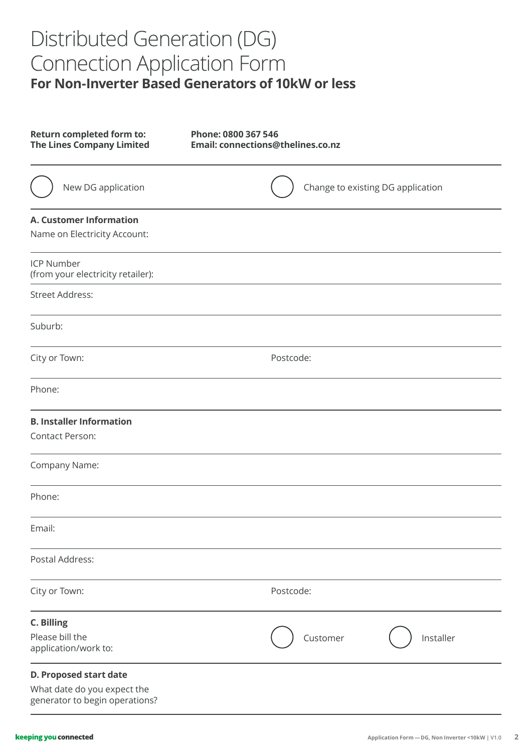# Distributed Generation (DG) Connection Application Form **For Non-Inverter Based Generators of 10kW or less**

| Return completed form to:<br><b>The Lines Company Limited</b>                                  | Phone: 0800 367 546<br>Email: connections@thelines.co.nz |
|------------------------------------------------------------------------------------------------|----------------------------------------------------------|
| New DG application                                                                             | Change to existing DG application                        |
| <b>A. Customer Information</b><br>Name on Electricity Account:                                 |                                                          |
| <b>ICP Number</b><br>(from your electricity retailer):                                         |                                                          |
| <b>Street Address:</b>                                                                         |                                                          |
| Suburb:                                                                                        |                                                          |
| City or Town:                                                                                  | Postcode:                                                |
| Phone:                                                                                         |                                                          |
| <b>B. Installer Information</b><br><b>Contact Person:</b>                                      |                                                          |
| Company Name:                                                                                  |                                                          |
| Phone:                                                                                         |                                                          |
| Email:                                                                                         |                                                          |
| Postal Address:                                                                                |                                                          |
| City or Town:                                                                                  | Postcode:                                                |
| <b>C. Billing</b><br>Please bill the<br>application/work to:                                   | Installer<br>Customer                                    |
| <b>D. Proposed start date</b><br>What date do you expect the<br>generator to begin operations? |                                                          |